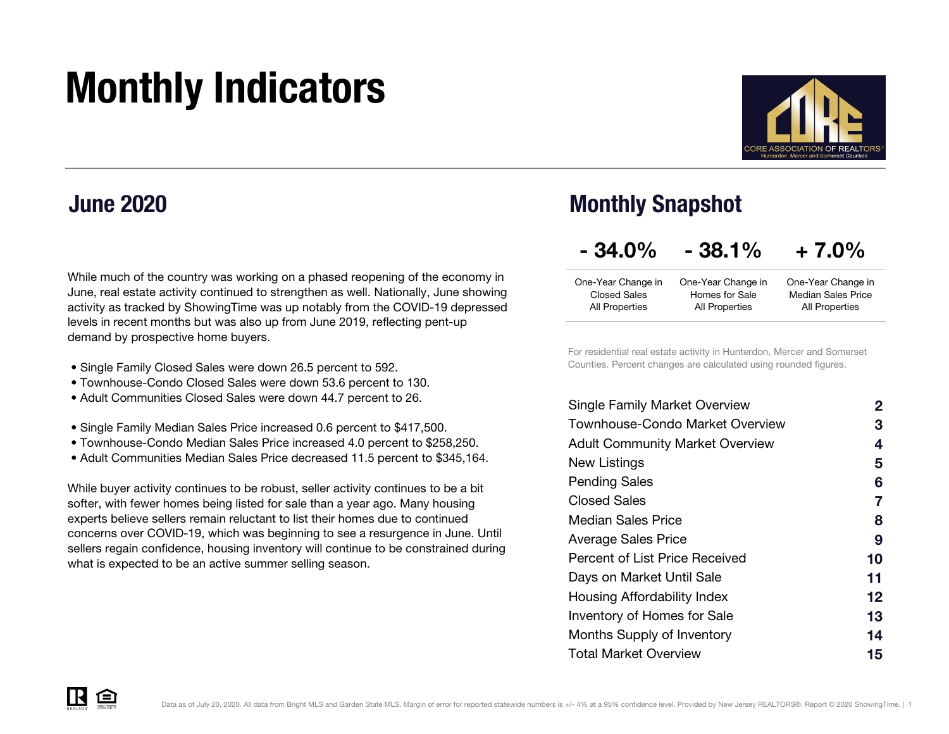# Monthly Indicators



### June 2020

While much of the country was working on a phased reopening of the economy in June, real estate activity continued to strengthen as well. Nationally, June showing activity as tracked by ShowingTime was up notably from the COVID-19 depressed levels in recent months but was also up from June 2019, reflecting pent-up demand by prospective home buyers.

- Single Family Closed Sales were down 26.5 percent to 592.
- Townhouse-Condo Closed Sales were down 53.6 percent to 130.
- Adult Communities Closed Sales were down 44.7 percent to 26.
- Single Family Median Sales Price increased 0.6 percent to \$417,500.
- Townhouse-Condo Median Sales Price increased 4.0 percent to \$258,250.
- Adult Communities Median Sales Price decreased 11.5 percent to \$345,164.

While buyer activity continues to be robust, seller activity continues to be a bit softer, with fewer homes being listed for sale than a year ago. Many housing experts believe sellers remain reluctant to list their homes due to continued concerns over COVID-19, which was beginning to see a resurgence in June. Until sellers regain confidence, housing inventory will continue to be constrained during what is expected to be an active summer selling season.

### Monthly Snapshot

#### $+ 7.0%$  $-34.0\%$   $-38.1\%$

| One-Year Change in  | One-Year Change in | One-Year Change in        |
|---------------------|--------------------|---------------------------|
| <b>Closed Sales</b> | Homes for Sale     | <b>Median Sales Price</b> |
| All Properties      | All Properties     | All Properties            |

For residential real estate activity in Hunterdon, Mercer and Somerset Counties. Percent changes are calculated using rounded figures.

| <b>Single Family Market Overview</b>   | 2  |
|----------------------------------------|----|
| Townhouse-Condo Market Overview        | 3  |
| <b>Adult Community Market Overview</b> | 4  |
| New Listings                           | 5  |
| <b>Pending Sales</b>                   | 6  |
| <b>Closed Sales</b>                    | 7  |
| Median Sales Price                     | 8  |
| <b>Average Sales Price</b>             | 9  |
| Percent of List Price Received         | 10 |
| Days on Market Until Sale              | 11 |
| Housing Affordability Index            | 12 |
| <b>Inventory of Homes for Sale</b>     | 13 |
| Months Supply of Inventory             | 14 |
| <b>Total Market Overview</b>           | 15 |

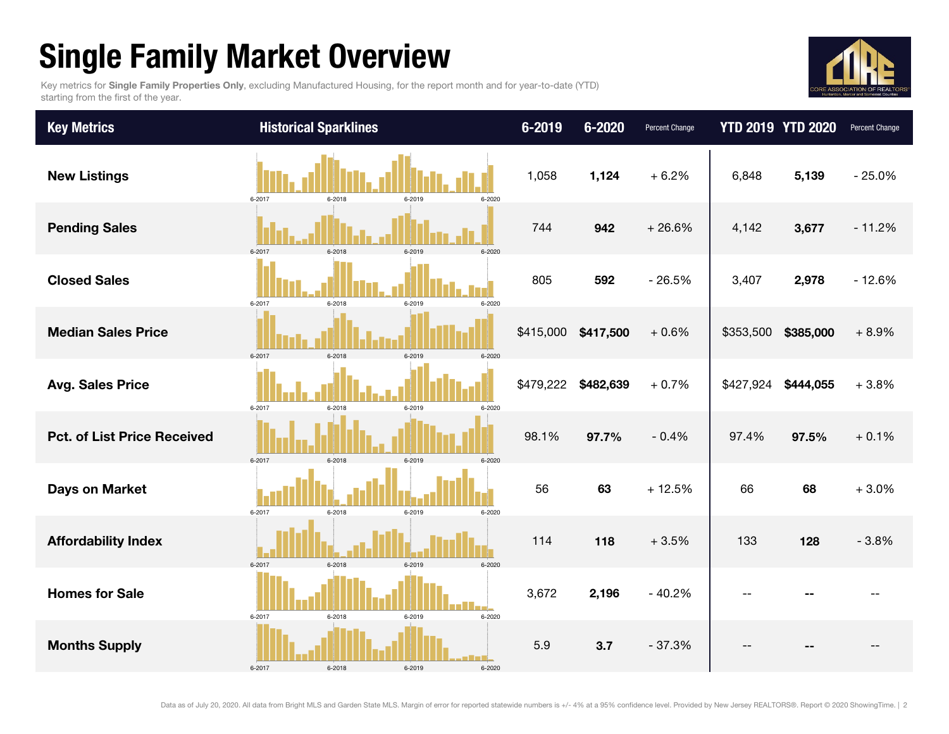### Single Family Market Overview

Key metrics for Single Family Properties Only, excluding Manufactured Housing, for the report month and for year-to-date (YTD) starting from the first of the year.



| <b>Key Metrics</b>                 | <b>Historical Sparklines</b>             | 6-2019    | 6-2020    | Percent Change |           | <b>YTD 2019 YTD 2020</b> | Percent Change |
|------------------------------------|------------------------------------------|-----------|-----------|----------------|-----------|--------------------------|----------------|
| <b>New Listings</b>                | 6-2017<br>$6 - 2018$<br>6-2019<br>6-2020 | 1,058     | 1,124     | $+6.2%$        | 6,848     | 5,139                    | $-25.0%$       |
| <b>Pending Sales</b>               | 6-2017<br>6-2018<br>6-2019<br>6-2020     | 744       | 942       | $+26.6%$       | 4,142     | 3,677                    | $-11.2%$       |
| <b>Closed Sales</b>                | 6-2017<br>6-2018<br>6-2019<br>6-2020     | 805       | 592       | $-26.5%$       | 3,407     | 2,978                    | $-12.6%$       |
| <b>Median Sales Price</b>          | 6-2017<br>6-2018<br>6-2019<br>6-2020     | \$415,000 | \$417,500 | $+0.6%$        | \$353,500 | \$385,000                | $+8.9%$        |
| <b>Avg. Sales Price</b>            | 6-2017<br>$6 - 2018$<br>6-2019<br>6-2020 | \$479,222 | \$482,639 | $+0.7%$        | \$427,924 | \$444,055                | $+3.8%$        |
| <b>Pct. of List Price Received</b> | 6-2018<br>6-2017<br>6-2019<br>6-2020     | 98.1%     | 97.7%     | $-0.4%$        | 97.4%     | 97.5%                    | $+0.1%$        |
| <b>Days on Market</b>              | 6-2017<br>6-2019<br>6-2018<br>6-2020     | 56        | 63        | $+12.5%$       | 66        | 68                       | $+3.0%$        |
| <b>Affordability Index</b>         | 6-2017<br>6-2018<br>6-2019<br>6-2020     | 114       | 118       | $+3.5%$        | 133       | 128                      | $-3.8%$        |
| <b>Homes for Sale</b>              | 6-2017<br>6-2018<br>6-2019<br>6-2020     | 3,672     | 2,196     | $-40.2%$       |           |                          |                |
| <b>Months Supply</b>               | 6-2017<br>6-2018<br>6-2019<br>6-2020     | 5.9       | 3.7       | $-37.3%$       |           |                          |                |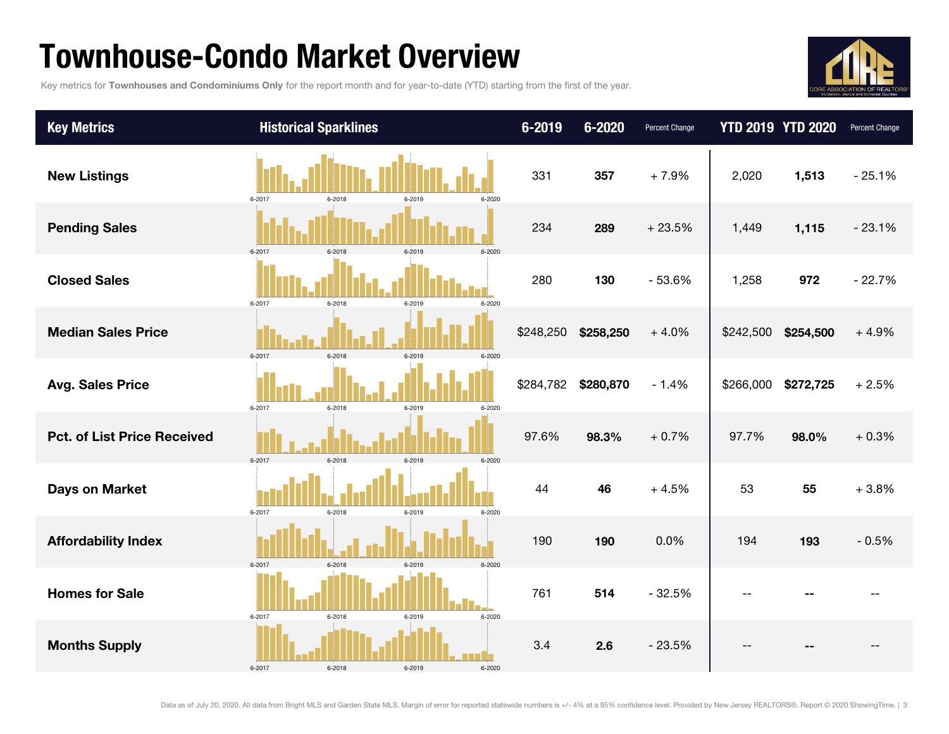### Townhouse-Condo Market Overview

Key metrics for Townhouses and Condominiums Only for the report month and for year-to-date (YTD) starting from the first of the year.



| <b>Key Metrics</b>                 | <b>Historical Sparklines</b>             | $6 - 2019$ | $6 - 2020$ | Percent Change |                     | <b>YTD 2019 YTD 2020</b> | Percent Change |
|------------------------------------|------------------------------------------|------------|------------|----------------|---------------------|--------------------------|----------------|
| <b>New Listings</b>                | 6-2017<br>6-2018<br>6-2020<br>6-2019     | 331        | 357        | $+7.9%$        | 2,020               | 1,513                    | $-25.1%$       |
| <b>Pending Sales</b>               | 6-2017<br>6-2018<br>6-2020<br>6-2019     | 234        | 289        | $+23.5%$       | 1,449               | 1,115                    | $-23.1%$       |
| <b>Closed Sales</b>                | 6-2020<br>6-2017<br>$6 - 2018$<br>6-2019 | 280        | 130        | $-53.6%$       | 1,258               | 972                      | $-22.7%$       |
| <b>Median Sales Price</b>          | 6-2017<br>6-2018<br>6-2019<br>6-2020     | \$248,250  | \$258,250  | $+4.0%$        | \$242,500 \$254,500 |                          | $+4.9%$        |
| <b>Avg. Sales Price</b>            | 6-2017<br>$6 - 2018$<br>6-2019<br>6-2020 | \$284,782  | \$280,870  | $-1.4%$        | \$266,000           | \$272,725                | $+2.5%$        |
| <b>Pct. of List Price Received</b> | 6-2017<br>6-2018<br>6-2019<br>6-2020     | 97.6%      | 98.3%      | $+0.7%$        | 97.7%               | 98.0%                    | $+0.3%$        |
| <b>Days on Market</b>              | 6-2017<br>6-2018<br>6-2019<br>6-2020     | 44         | 46         | $+4.5%$        | 53                  | 55                       | $+3.8%$        |
| <b>Affordability Index</b>         | 6-2017<br>$6 - 2018$<br>6-2019<br>6-2020 | 190        | 190        | 0.0%           | 194                 | 193                      | $-0.5%$        |
| <b>Homes for Sale</b>              | 6-2018<br>6-2017<br>6-2019<br>6-2020     | 761        | 514        | $-32.5%$       |                     |                          |                |
| <b>Months Supply</b>               | 6-2017<br>6-2019<br>6-2018<br>6-2020     | 3.4        | 2.6        | $-23.5%$       |                     |                          |                |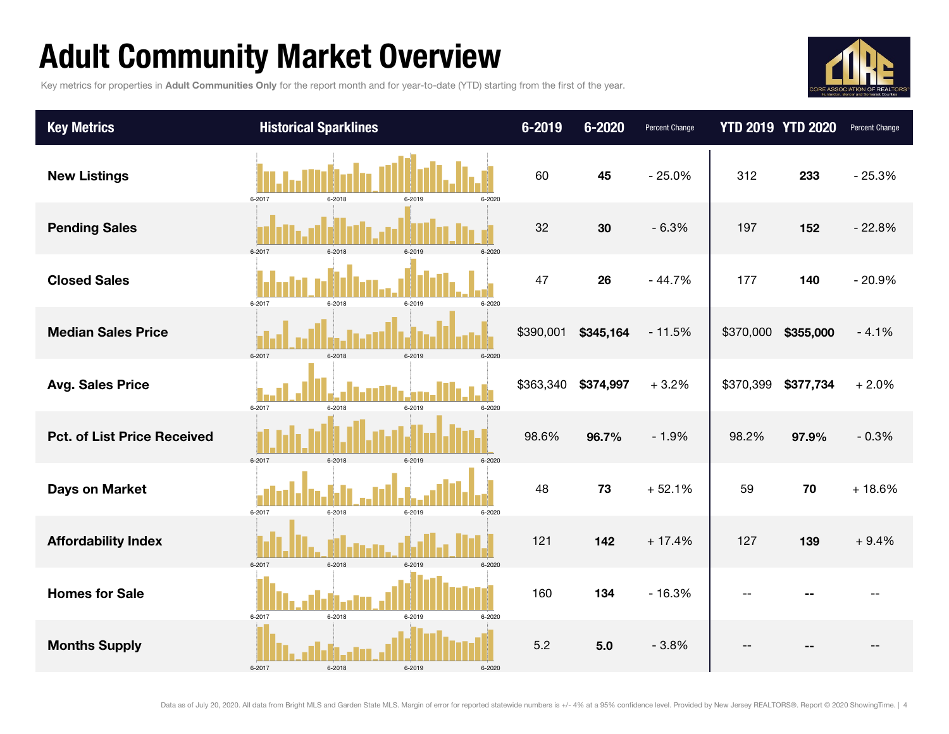## Adult Community Market Overview

Key metrics for properties in Adult Communities Only for the report month and for year-to-date (YTD) starting from the first of the year.



| <b>Key Metrics</b>                 | <b>Historical Sparklines</b>             | 6-2019    | 6-2020    | Percent Change |           | <b>YTD 2019 YTD 2020</b> | Percent Change |
|------------------------------------|------------------------------------------|-----------|-----------|----------------|-----------|--------------------------|----------------|
| <b>New Listings</b>                | 6-2017<br>$6 - 2018$<br>6-2019<br>6-2020 | 60        | 45        | $-25.0%$       | 312       | 233                      | $-25.3%$       |
| <b>Pending Sales</b>               | 6-2017<br>6-2018<br>6-2019<br>6-2020     | 32        | 30        | $-6.3%$        | 197       | 152                      | $-22.8%$       |
| <b>Closed Sales</b>                | 6-2017<br>6-2018<br>6-2019<br>6-2020     | 47        | 26        | $-44.7%$       | 177       | 140                      | $-20.9%$       |
| <b>Median Sales Price</b>          | 6-2017<br>6-2018<br>6-2019<br>6-2020     | \$390,001 | \$345,164 | $-11.5%$       | \$370,000 | \$355,000                | $-4.1%$        |
| <b>Avg. Sales Price</b>            | 6-2017<br>6-2018<br>6-2019<br>6-2020     | \$363,340 | \$374,997 | $+3.2%$        | \$370,399 | \$377,734                | $+2.0%$        |
| <b>Pct. of List Price Received</b> | 6-2017<br>6-2018<br>6-2019<br>6-2020     | 98.6%     | 96.7%     | $-1.9%$        | 98.2%     | 97.9%                    | $-0.3%$        |
| <b>Days on Market</b>              | 6-2017<br>6-2018<br>6-2019<br>6-2020     | 48        | 73        | $+52.1%$       | 59        | 70                       | $+18.6%$       |
| <b>Affordability Index</b>         | 6-2017<br>6-2018<br>6-2019<br>6-2020     | 121       | 142       | $+17.4%$       | 127       | 139                      | $+9.4%$        |
| <b>Homes for Sale</b>              | 6-2017<br>6-2018<br>6-2019<br>6-2020     | 160       | 134       | $-16.3%$       |           |                          |                |
| <b>Months Supply</b>               | 6-2017<br>6-2019<br>6-2020               | 5.2       | 5.0       | $-3.8%$        |           |                          |                |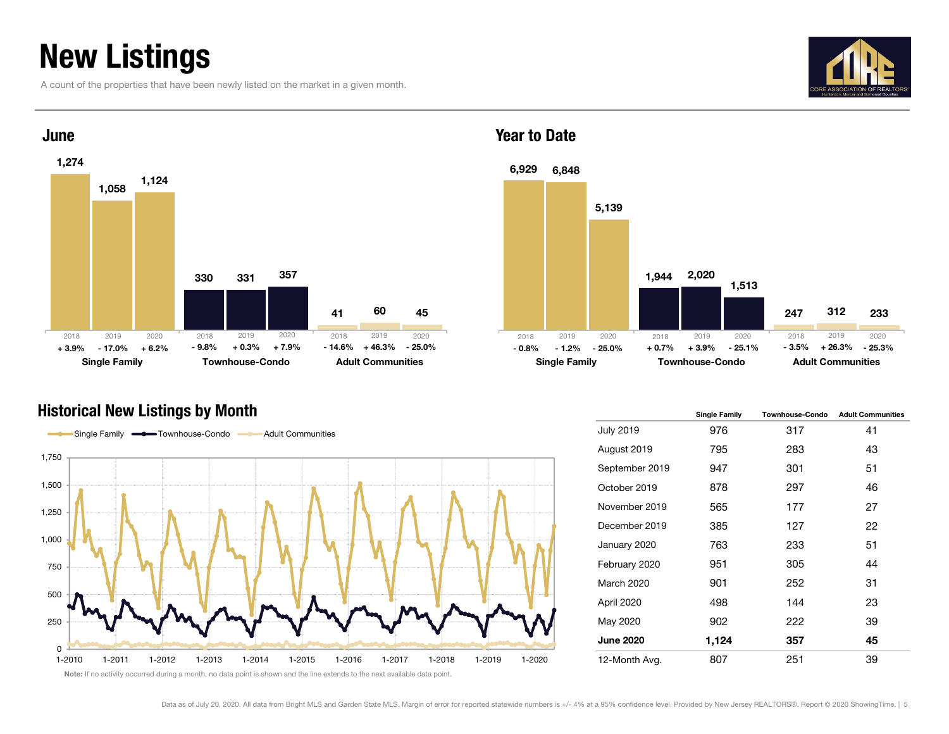### New Listings

A count of the properties that have been newly listed on the market in a given month.





#### Year to Date



#### Historical New Listings by Month



|                  | <b>Single Family</b> | <b>Townhouse-Condo</b> | <b>Adult Communities</b> |
|------------------|----------------------|------------------------|--------------------------|
| <b>July 2019</b> | 976                  | 317                    | 41                       |
| August 2019      | 795                  | 283                    | 43                       |
| September 2019   | 947                  | 301                    | 51                       |
| October 2019     | 878                  | 297                    | 46                       |
| November 2019    | 565                  | 177                    | 27                       |
| December 2019    | 385                  | 127                    | 22                       |
| January 2020     | 763                  | 233                    | 51                       |
| February 2020    | 951                  | 305                    | 44                       |
| March 2020       | 901                  | 252                    | 31                       |
| April 2020       | 498                  | 144                    | 23                       |
| May 2020         | 902                  | 222                    | 39                       |
| <b>June 2020</b> | 1,124                | 357                    | 45                       |
| 12-Month Avg.    | 807                  | 251                    | 39                       |

Note: If no activity occurred during a month, no data point is shown and the line extends to the next available data point.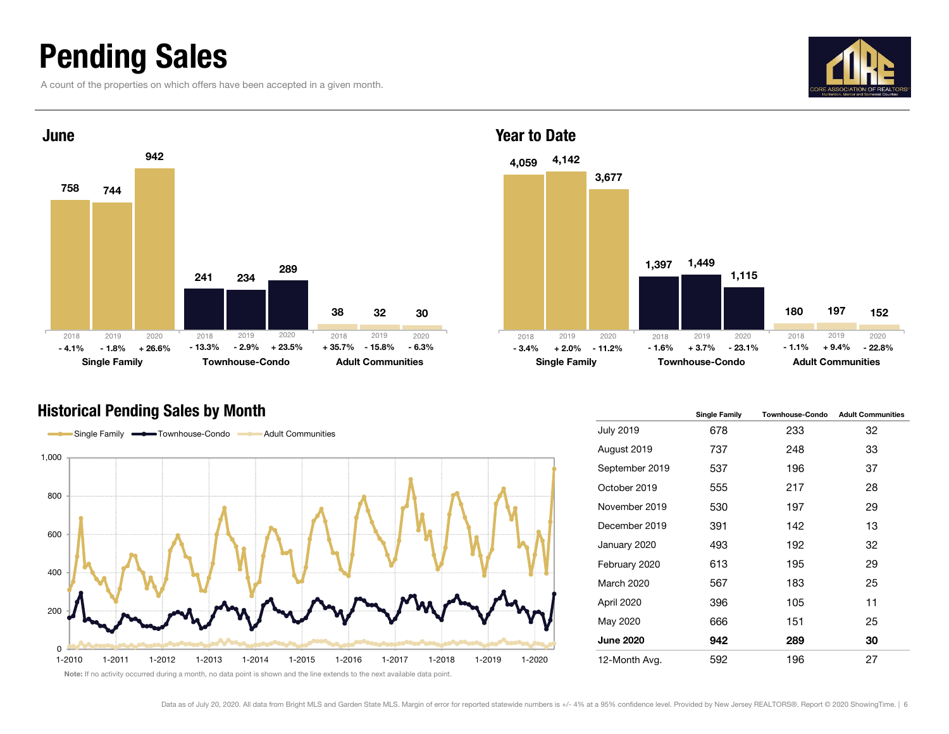### Pending Sales

A count of the properties on which offers have been accepted in a given month.





#### 4,059 4,142 1,397 1801,449 1973,677 1,115 152Single Family **Townhouse-Condo** Adult Communities + 26.6% - 2.9% + 23.5% + 2.0% - 11.2% + 3.7% - 23.1% - 13.3% - 6.3% - 15.8% - 3.4% - 1.6% + 9.4% - 22.8% 2019 2020 2018 2019 2020 2018 2019 2020- 1.1%

#### Historical Pending Sales by Month

 $\sim$ 



|                  | <b>Single Family</b> | <b>Townhouse-Condo</b> | <b>Adult Communities</b> |
|------------------|----------------------|------------------------|--------------------------|
| <b>July 2019</b> | 678                  | 233                    | 32                       |
| August 2019      | 737                  | 248                    | 33                       |
| September 2019   | 537                  | 196                    | 37                       |
| October 2019     | 555                  | 217                    | 28                       |
| November 2019    | 530                  | 197                    | 29                       |
| December 2019    | 391                  | 142                    | 13                       |
| January 2020     | 493                  | 192                    | 32                       |
| February 2020    | 613                  | 195                    | 29                       |
| March 2020       | 567                  | 183                    | 25                       |
| April 2020       | 396                  | 105                    | 11                       |
| May 2020         | 666                  | 151                    | 25                       |
| <b>June 2020</b> | 942                  | 289                    | 30                       |
| 12-Month Avg.    | 592                  | 196                    | 27                       |

Note: If no activity occurred during a month, no data point is shown and the line extends to the next available data point.

Year to Date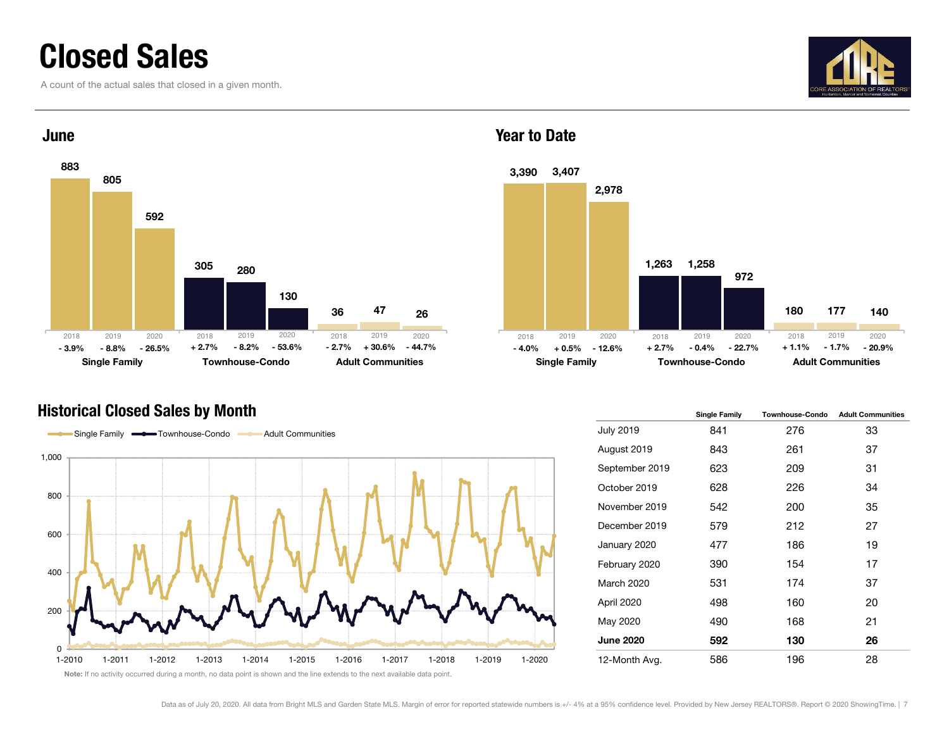### Closed Sales

A count of the actual sales that closed in a given month.





#### Year to Date



#### Historical Closed Sales by Month



|                   | <b>Single Family</b> | <b>Townhouse-Condo</b> | <b>Adult Communities</b> |
|-------------------|----------------------|------------------------|--------------------------|
| <b>July 2019</b>  | 841                  | 276                    | 33                       |
| August 2019       | 843                  | 261                    | 37                       |
| September 2019    | 623                  | 209                    | 31                       |
| October 2019      | 628                  | 226                    | 34                       |
| November 2019     | 542                  | 200                    | 35                       |
| December 2019     | 579                  | 212                    | 27                       |
| January 2020      | 477                  | 186                    | 19                       |
| February 2020     | 390                  | 154                    | 17                       |
| <b>March 2020</b> | 531                  | 174                    | 37                       |
| April 2020        | 498                  | 160                    | 20                       |
| May 2020          | 490                  | 168                    | 21                       |
| <b>June 2020</b>  | 592                  | 130                    | 26                       |
| 12-Month Avg.     | 586                  | 196                    | 28                       |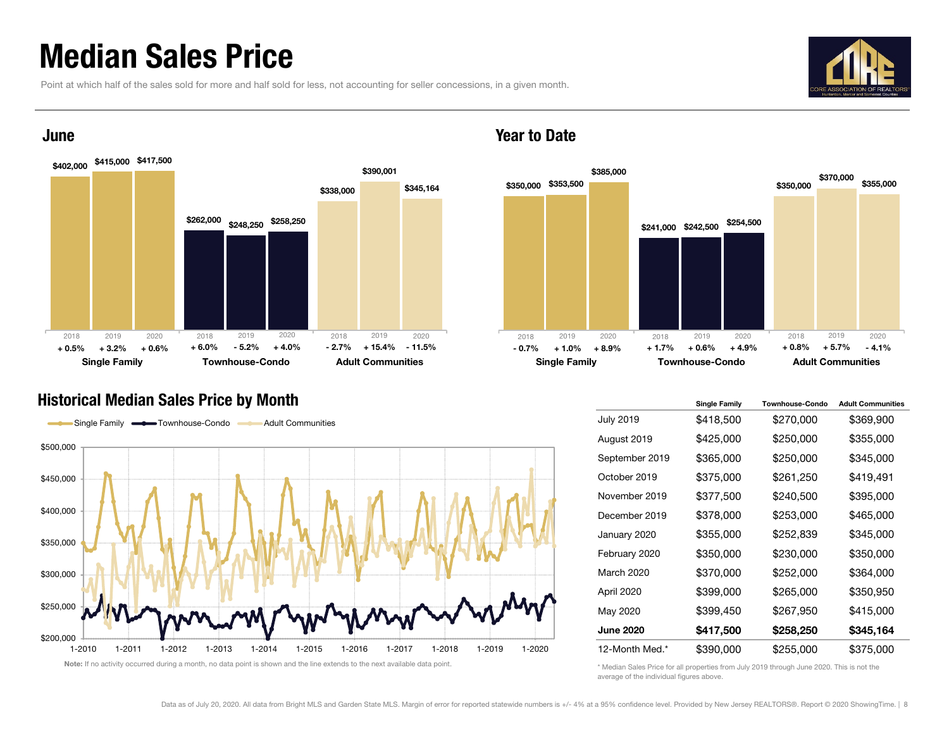### Median Sales Price

June

Point at which half of the sales sold for more and half sold for less, not accounting for seller concessions, in a given month.





#### Year to Date



#### Historical Median Sales Price by Month



|                  | <b>Single Family</b> | <b>Townhouse-Condo</b> | <b>Adult Communities</b> |
|------------------|----------------------|------------------------|--------------------------|
| <b>July 2019</b> | \$418,500            | \$270,000              | \$369,900                |
| August 2019      | \$425,000            | \$250,000              | \$355,000                |
| September 2019   | \$365,000            | \$250,000              | \$345,000                |
| October 2019     | \$375,000            | \$261,250              | \$419,491                |
| November 2019    | \$377,500            | \$240,500              | \$395,000                |
| December 2019    | \$378,000            | \$253,000              | \$465,000                |
| January 2020     | \$355,000            | \$252,839              | \$345,000                |
| February 2020    | \$350,000            | \$230,000              | \$350,000                |
| March 2020       | \$370,000            | \$252,000              | \$364,000                |
| April 2020       | \$399,000            | \$265,000              | \$350,950                |
| May 2020         | \$399,450            | \$267,950              | \$415,000                |
| <b>June 2020</b> | \$417,500            | \$258,250              | \$345,164                |
| 12-Month Med.*   | \$390,000            | \$255,000              | \$375,000                |

\* Median Sales Price for all properties from July 2019 through June 2020. This is not the average of the individual figures above.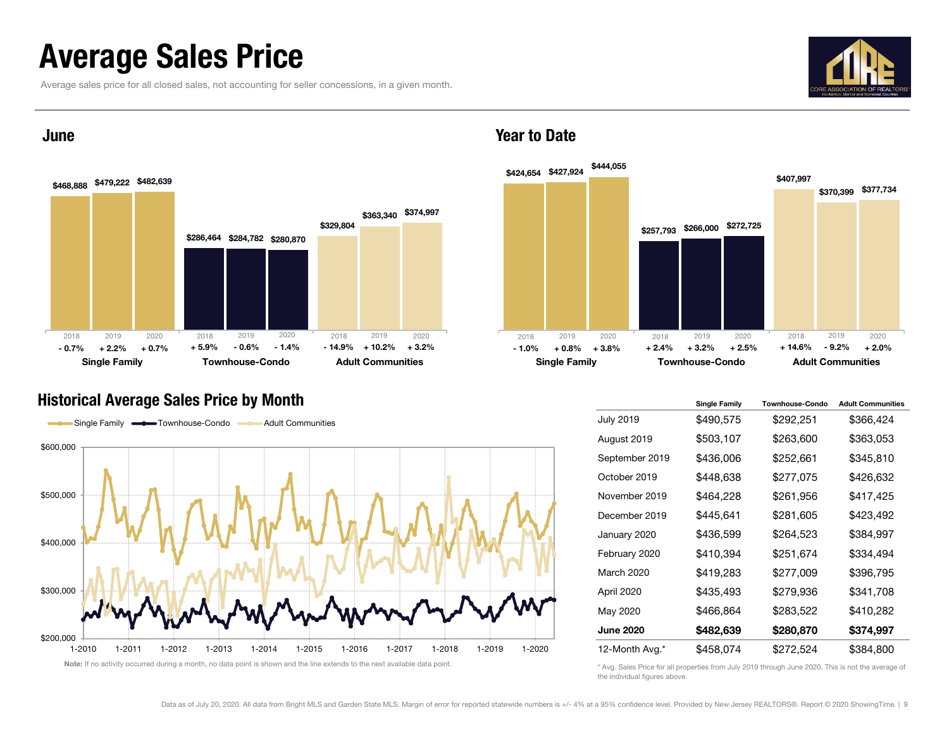### Average Sales Price

June

Average sales price for all closed sales, not accounting for seller concessions, in a given month.





#### Historical Average Sales Price by Month



#### Year to Date



|                  | <b>Single Family</b> | <b>Townhouse-Condo</b> | <b>Adult Communities</b> |
|------------------|----------------------|------------------------|--------------------------|
| <b>July 2019</b> | \$490,575            | \$292,251              | \$366,424                |
| August 2019      | \$503,107            | \$263,600              | \$363,053                |
| September 2019   | \$436,006            | \$252,661              | \$345,810                |
| October 2019     | \$448,638            | \$277,075              | \$426,632                |
| November 2019    | \$464,228            | \$261,956              | \$417,425                |
| December 2019    | \$445,641            | \$281,605              | \$423,492                |
| January 2020     | \$436,599            | \$264,523              | \$384,997                |
| February 2020    | \$410,394            | \$251,674              | \$334,494                |
| March 2020       | \$419,283            | \$277,009              | \$396,795                |
| April 2020       | \$435,493            | \$279,936              | \$341,708                |
| May 2020         | \$466,864            | \$283,522              | \$410,282                |
| <b>June 2020</b> | \$482,639            | \$280,870              | \$374,997                |
| 12-Month Avg.*   | \$458,074            | \$272,524              | \$384,800                |

\* Avg. Sales Price for all properties from July 2019 through June 2020. This is not the average of the individual figures above.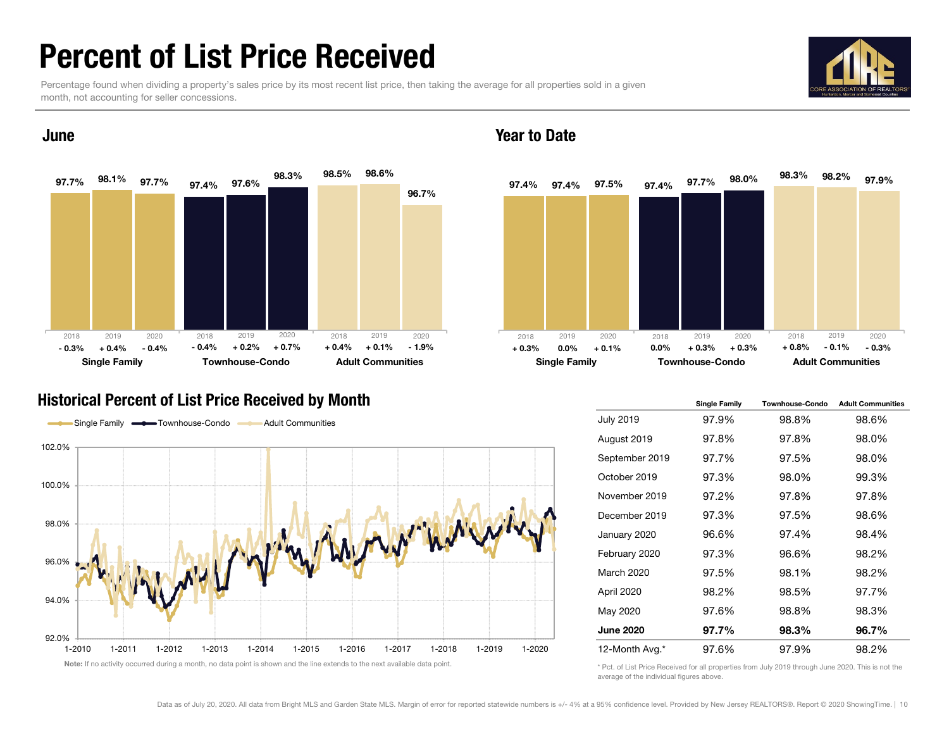### Percent of List Price Received

Percentage found when dividing a property's sales price by its most recent list price, then taking the average for all properties sold in a given month, not accounting for seller concessions.





#### June

#### Historical Percent of List Price Received by Month



#### Year to Date



|                  | <b>Single Family</b> | <b>Townhouse-Condo</b> | <b>Adult Communities</b> |
|------------------|----------------------|------------------------|--------------------------|
| <b>July 2019</b> | 97.9%                | 98.8%                  | 98.6%                    |
| August 2019      | 97.8%                | 97.8%                  | 98.0%                    |
| September 2019   | 97.7%                | 97.5%                  | 98.0%                    |
| October 2019     | 97.3%                | 98.0%                  | 99.3%                    |
| November 2019    | 97.2%                | 97.8%                  | 97.8%                    |
| December 2019    | 97.3%                | 97.5%                  | 98.6%                    |
| January 2020     | 96.6%                | 97.4%                  | 98.4%                    |
| February 2020    | 97.3%                | 96.6%                  | 98.2%                    |
| March 2020       | 97.5%                | 98.1%                  | 98.2%                    |
| April 2020       | 98.2%                | 98.5%                  | 97.7%                    |
| May 2020         | 97.6%                | 98.8%                  | 98.3%                    |
| <b>June 2020</b> | 97.7%                | 98.3%                  | 96.7%                    |
| 12-Month Avg.*   | 97.6%                | 97.9%                  | 98.2%                    |

\* Pct. of List Price Received for all properties from July 2019 through June 2020. This is not the average of the individual figures above.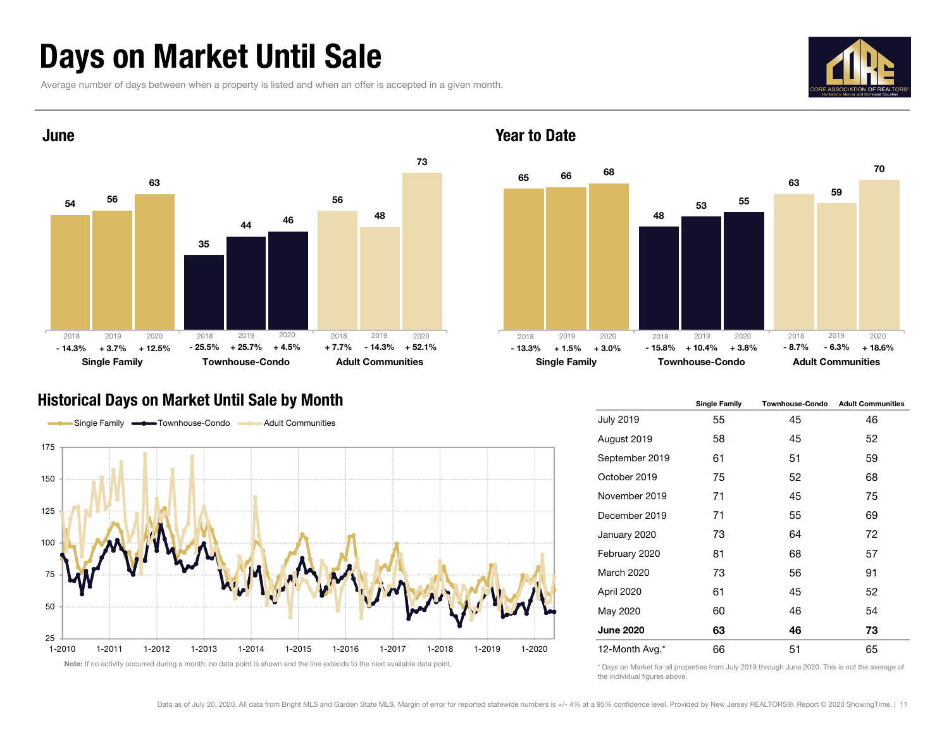### Days on Market Until Sale

Average number of days between when a property is listed and when an offer is accepted in a given month.





#### Year to Date



#### Historical Days on Market Until Sale by Month



|                   | <b>Single Family</b> | <b>Townhouse-Condo</b> | <b>Adult Communities</b> |
|-------------------|----------------------|------------------------|--------------------------|
| <b>July 2019</b>  | 55                   | 45                     | 46                       |
| August 2019       | 58                   | 45                     | 52                       |
| September 2019    | 61                   | 51                     | 59                       |
| October 2019      | 75                   | 52                     | 68                       |
| November 2019     | 71                   | 45                     | 75                       |
| December 2019     | 71                   | 55                     | 69                       |
| January 2020      | 73                   | 64                     | 72                       |
| February 2020     | 81                   | 68                     | 57                       |
| <b>March 2020</b> | 73                   | 56                     | 91                       |
| April 2020        | 61                   | 45                     | 52                       |
| May 2020          | 60                   | 46                     | 54                       |
| <b>June 2020</b>  | 63                   | 46                     | 73                       |
| 12-Month Avg.*    | 66                   | 51                     | 65                       |

\* Days on Market for all properties from July 2019 through June 2020. This is not the average of the individual figures above.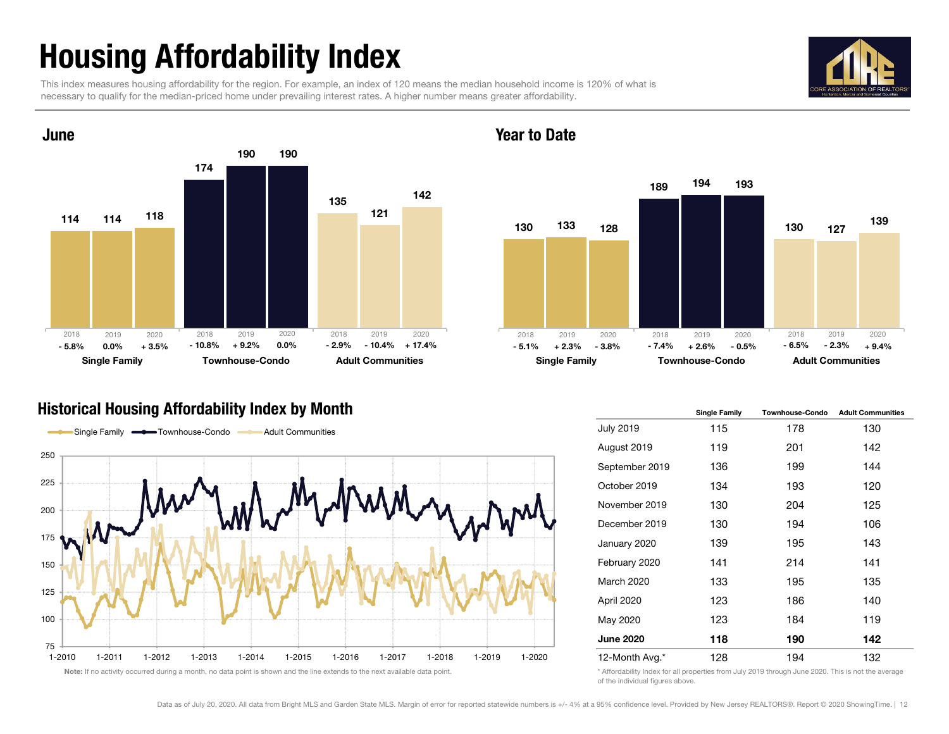## Housing Affordability Index

174

This index measures housing affordability for the region. For example, an index of 120 means the median household income is 120% of what is necessary to qualify for the median-priced home under prevailing interest rates. A higher number means greater affordability.

2018

- 2.9%

2019



2020



#### Historical Housing Affordability Index by Month

2018

Single Family **Townhouse-Condo** Adult Communities

114

2018

- 5.8%

June

114

118

2019 2020

0.0%



|                  | <b>Single Family</b> | <b>Townhouse-Condo</b> | <b>Adult Communities</b> |  |  |
|------------------|----------------------|------------------------|--------------------------|--|--|
| <b>July 2019</b> | 115                  | 178                    | 130                      |  |  |
| August 2019      | 119                  | 201                    | 142                      |  |  |
| September 2019   | 136                  | 199                    | 144                      |  |  |
| October 2019     | 134                  | 193                    | 120                      |  |  |
| November 2019    | 130                  | 204                    | 125                      |  |  |
| December 2019    | 130                  | 194                    | 106                      |  |  |
| January 2020     | 139                  | 195                    | 143                      |  |  |
| February 2020    | 141                  | 214                    | 141                      |  |  |
| March 2020       | 133                  | 195                    | 135                      |  |  |
| April 2020       | 123                  | 186                    | 140                      |  |  |
| May 2020         | 123                  | 184                    | 119                      |  |  |
| <b>June 2020</b> | 118                  | 190                    | 142                      |  |  |
| 12-Month Avg.*   | 128                  | 194                    | 132                      |  |  |

\* Affordability Index for all properties from July 2019 through June 2020. This is not the average of the individual figures above.

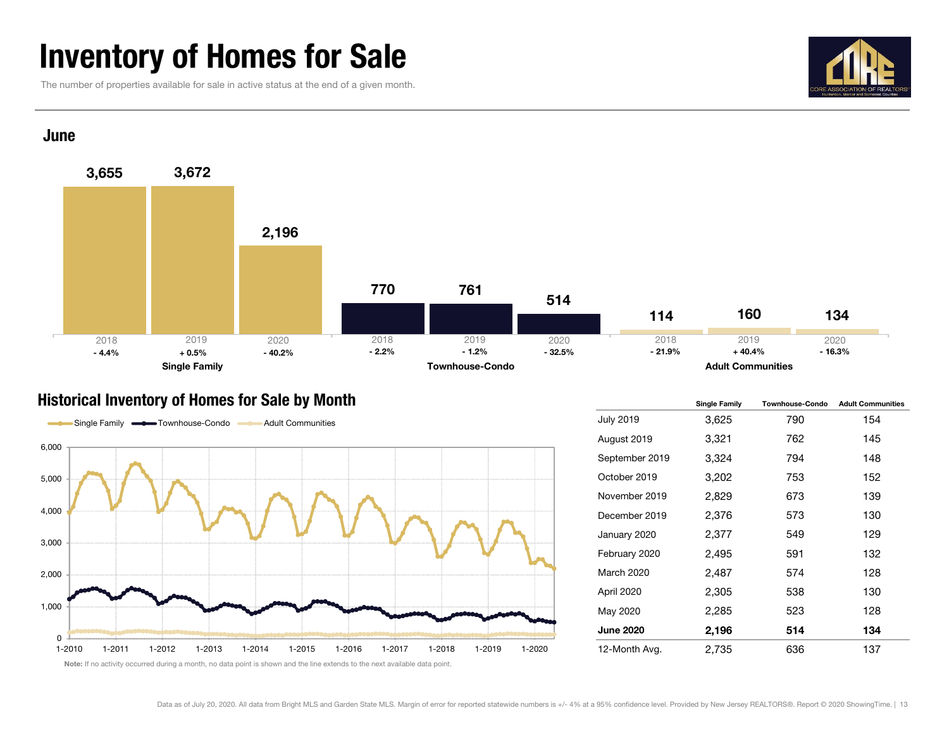### Inventory of Homes for Sale

The number of properties available for sale in active status at the end of a given month.



#### June



#### Historical Inventory of Homes for Sale by Month



|                   | <b>Single Family</b> | <b>Townhouse-Condo</b> | <b>Adult Communities</b> |  |  |
|-------------------|----------------------|------------------------|--------------------------|--|--|
| <b>July 2019</b>  | 3,625                | 790                    | 154                      |  |  |
| August 2019       | 3,321                | 762                    | 145                      |  |  |
| September 2019    | 3,324                | 794                    | 148                      |  |  |
| October 2019      | 3,202                | 753                    | 152                      |  |  |
| November 2019     | 2,829                | 673                    | 139                      |  |  |
| December 2019     | 2,376                | 573                    | 130                      |  |  |
| January 2020      | 2,377                | 549                    | 129                      |  |  |
| February 2020     | 2,495                | 591                    | 132                      |  |  |
| <b>March 2020</b> | 2,487                | 574                    | 128                      |  |  |
| April 2020        | 2,305                | 538                    | 130                      |  |  |
| May 2020          | 2,285                | 523                    | 128                      |  |  |
| <b>June 2020</b>  | 2,196                | 514                    | 134                      |  |  |
| 12-Month Avg.     | 2,735                | 636                    | 137                      |  |  |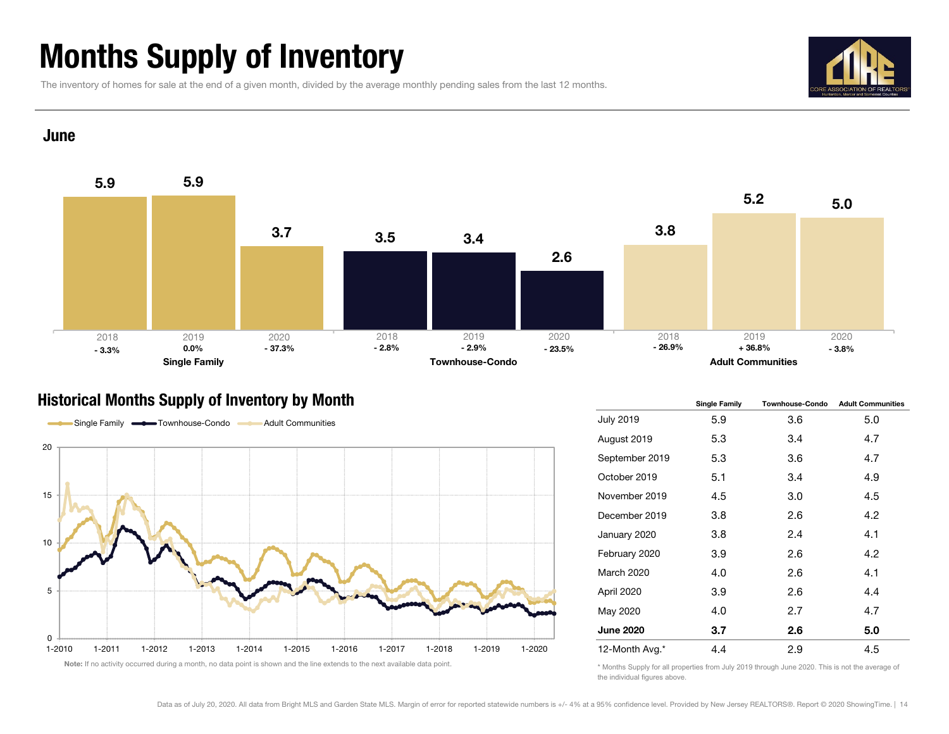### Months Supply of Inventory

The inventory of homes for sale at the end of a given month, divided by the average monthly pending sales from the last 12 months.



5.0

5.93.5 $5 \qquad \qquad 3.4 \qquad \qquad \qquad 3.8$ 5.93.45.23.72.6Single Family **Supplem Condo** Townhouse-Condo **Condo** Adult Communities June2018 2019 20200.0% $\%$  - 37.3% - 2.8% - 2.9% - 2.3.5%  $-23.5%$ 2018 2019 2020- 3.3%% 0.0% - 37.3% - 2.8% - 2.9% - 23.5% - 26.9% + 36.8% - 3.8% 2018 2019 2020- 26.9%

#### Historical Months Supply of Inventory by Month



|                   | <b>Single Family</b> | <b>Townhouse-Condo</b> | <b>Adult Communities</b> |  |  |
|-------------------|----------------------|------------------------|--------------------------|--|--|
| <b>July 2019</b>  | 5.9                  | 3.6                    | 5.0                      |  |  |
| August 2019       | 5.3                  | 3.4                    | 4.7                      |  |  |
| September 2019    | 5.3                  | 3.6                    | 4.7                      |  |  |
| October 2019      | 5.1                  | 3.4                    | 4.9                      |  |  |
| November 2019     | 4.5                  | 3.0                    | 4.5                      |  |  |
| December 2019     | 3.8                  | 2.6                    | 4.2                      |  |  |
| January 2020      | 3.8                  | 2.4                    | 4.1                      |  |  |
| February 2020     | 3.9                  | 2.6                    | 4.2                      |  |  |
| <b>March 2020</b> | 4.0                  | 2.6                    | 4.1                      |  |  |
| April 2020        | 3.9                  | 2.6                    | 4.4                      |  |  |
| May 2020          | 4.0                  | 2.7                    | 4.7                      |  |  |
| <b>June 2020</b>  | 3.7                  | 2.6                    | 5.0                      |  |  |
| 12-Month Avg.*    | 4.4                  | 2.9                    | 4.5                      |  |  |

\* Months Supply for all properties from July 2019 through June 2020. This is not the average of the individual figures above.